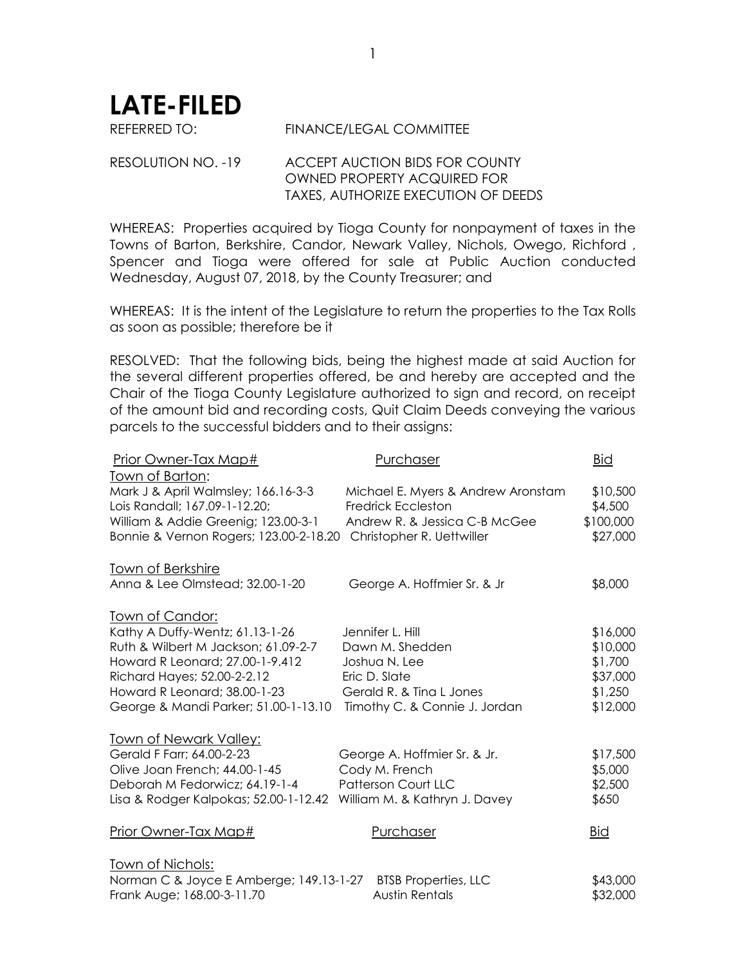**LATE-FILED**

REFERRED TO: FINANCE/LEGAL COMMITTEE

RESOLUTION NO. -19 ACCEPT AUCTION BIDS FOR COUNTY OWNED PROPERTY ACQUIRED FOR TAXES, AUTHORIZE EXECUTION OF DEEDS

WHEREAS: Properties acquired by Tioga County for nonpayment of taxes in the Towns of Barton, Berkshire, Candor, Newark Valley, Nichols, Owego, Richford , Spencer and Tioga were offered for sale at Public Auction conducted Wednesday, August 07, 2018, by the County Treasurer; and

WHEREAS: It is the intent of the Legislature to return the properties to the Tax Rolls as soon as possible; therefore be it

RESOLVED: That the following bids, being the highest made at said Auction for the several different properties offered, be and hereby are accepted and the Chair of the Tioga County Legislature authorized to sign and record, on receipt of the amount bid and recording costs, Quit Claim Deeds conveying the various parcels to the successful bidders and to their assigns:

| Prior Owner-Tax Map#                                                 | Purchaser                                                       | <b>Bid</b>          |
|----------------------------------------------------------------------|-----------------------------------------------------------------|---------------------|
| Town of Barton:                                                      |                                                                 |                     |
| Mark J & April Walmsley; 166.16-3-3<br>Lois Randall; 167.09-1-12.20; | Michael E. Myers & Andrew Aronstam<br><b>Fredrick Eccleston</b> | \$10,500<br>\$4,500 |
| William & Addie Greenig; 123.00-3-1                                  | Andrew R. & Jessica C-B McGee                                   | \$100,000           |
| Bonnie & Vernon Rogers; 123.00-2-18.20                               | Christopher R. Uettwiller                                       | \$27,000            |
| <b>Town of Berkshire</b>                                             |                                                                 |                     |
| Anna & Lee Olmstead; 32.00-1-20                                      | George A. Hoffmier Sr. & Jr                                     | \$8,000             |
| <u>Town of Candor:</u>                                               |                                                                 |                     |
| Kathy A Duffy-Wentz; 61.13-1-26                                      | Jennifer L. Hill                                                | \$16,000            |
| Ruth & Wilbert M Jackson; 61.09-2-7                                  | Dawn M. Shedden                                                 | \$10,000            |
| Howard R Leonard; 27.00-1-9.412                                      | Joshua N. Lee                                                   | \$1,700             |
| Richard Hayes; 52.00-2-2.12                                          | Eric D. Slate                                                   | \$37,000            |
| Howard R Leonard; 38.00-1-23                                         | Gerald R. & Tina L Jones                                        | \$1,250<br>\$12,000 |
| George & Mandi Parker; 51.00-1-13.10                                 | Timothy C. & Connie J. Jordan                                   |                     |
| <b>Town of Newark Valley:</b>                                        |                                                                 |                     |
| Gerald F Farr; 64.00-2-23                                            | George A. Hoffmier Sr. & Jr.                                    | \$17,500            |
| Olive Joan French; 44.00-1-45                                        | Cody M. French                                                  | \$5,000             |
| Deborah M Fedorwicz; 64.19-1-4                                       | <b>Patterson Court LLC</b>                                      | \$2,500             |
| Lisa & Rodger Kalpokas; 52.00-1-12.42                                | William M. & Kathryn J. Davey                                   | \$650               |
| Prior Owner-Tax Map#                                                 | Purchaser                                                       | <u>Bid</u>          |
| <u>Town of Nichols:</u>                                              |                                                                 |                     |
| Norman C & Joyce E Amberge; 149.13-1-27                              | <b>BTSB Properties, LLC</b>                                     | \$43,000            |
| Frank Auge; 168.00-3-11.70                                           | <b>Austin Rentals</b>                                           | \$32,000            |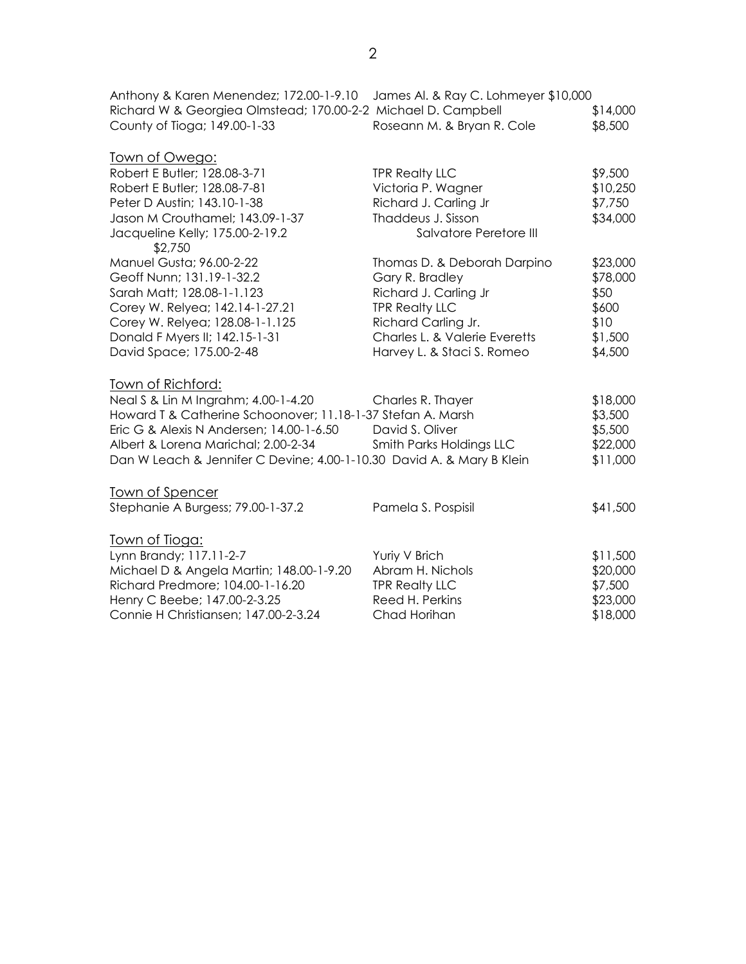Anthony & Karen Menendez; 172.00-1-9.10 James Al. & Ray C. Lohmeyer \$10,000 Richard W & Georgiea Olmstead; 170.00-2-2 Michael D. Campbell \$14,000 County of Tioga; 149.00-1-33 Roseann M. & Bryan R. Cole \$8,500

| Town of Owego:                                                        |                               |          |
|-----------------------------------------------------------------------|-------------------------------|----------|
| Robert E Butler; 128.08-3-71                                          | <b>TPR Realty LLC</b>         | \$9,500  |
| Robert E Butler; 128.08-7-81                                          | Victoria P. Wagner            | \$10,250 |
| Peter D Austin; 143.10-1-38                                           | Richard J. Carling Jr         | \$7,750  |
| Jason M Crouthamel; 143.09-1-37                                       | Thaddeus J. Sisson            | \$34,000 |
| Jacqueline Kelly; 175.00-2-19.2<br>\$2,750                            | Salvatore Peretore III        |          |
| Manuel Gusta; 96.00-2-22                                              | Thomas D. & Deborah Darpino   | \$23,000 |
| Geoff Nunn; 131.19-1-32.2                                             | Gary R. Bradley               | \$78,000 |
| Sarah Matt; 128.08-1-1.123                                            | Richard J. Carling Jr         | \$50     |
| Corey W. Relyea; 142.14-1-27.21                                       | <b>TPR Realty LLC</b>         | \$600    |
| Corey W. Relyea; 128.08-1-1.125                                       | Richard Carling Jr.           | \$10     |
| Donald F Myers II; 142.15-1-31                                        | Charles L. & Valerie Everetts | \$1,500  |
| David Space; 175.00-2-48                                              | Harvey L. & Staci S. Romeo    | \$4,500  |
| Town of Richford:                                                     |                               |          |
| Neal S & Lin M Ingrahm; 4.00-1-4.20                                   | Charles R. Thayer             | \$18,000 |
| Howard T & Catherine Schoonover; 11.18-1-37 Stefan A. Marsh           |                               | \$3,500  |
| Eric G & Alexis N Andersen; 14.00-1-6.50                              | David S. Oliver               | \$5,500  |
| Albert & Lorena Marichal; 2.00-2-34                                   | Smith Parks Holdings LLC      | \$22,000 |
| Dan W Leach & Jennifer C Devine; 4.00-1-10.30 David A. & Mary B Klein |                               | \$11,000 |
| Town of Spencer                                                       |                               |          |
| Stephanie A Burgess; 79.00-1-37.2                                     | Pamela S. Pospisil            | \$41,500 |
| <u> Town of Tioga:</u>                                                |                               |          |
| Lynn Brandy; 117.11-2-7                                               | Yuriy V Brich                 | \$11,500 |
| Michael D & Angela Martin; 148.00-1-9.20                              | Abram H. Nichols              | \$20,000 |
| Richard Predmore; 104.00-1-16.20                                      | <b>TPR Realty LLC</b>         | \$7,500  |
| Henry C Beebe; 147.00-2-3.25                                          | Reed H. Perkins               | \$23,000 |
| Connie H Christiansen; 147.00-2-3.24                                  | Chad Horihan                  | \$18,000 |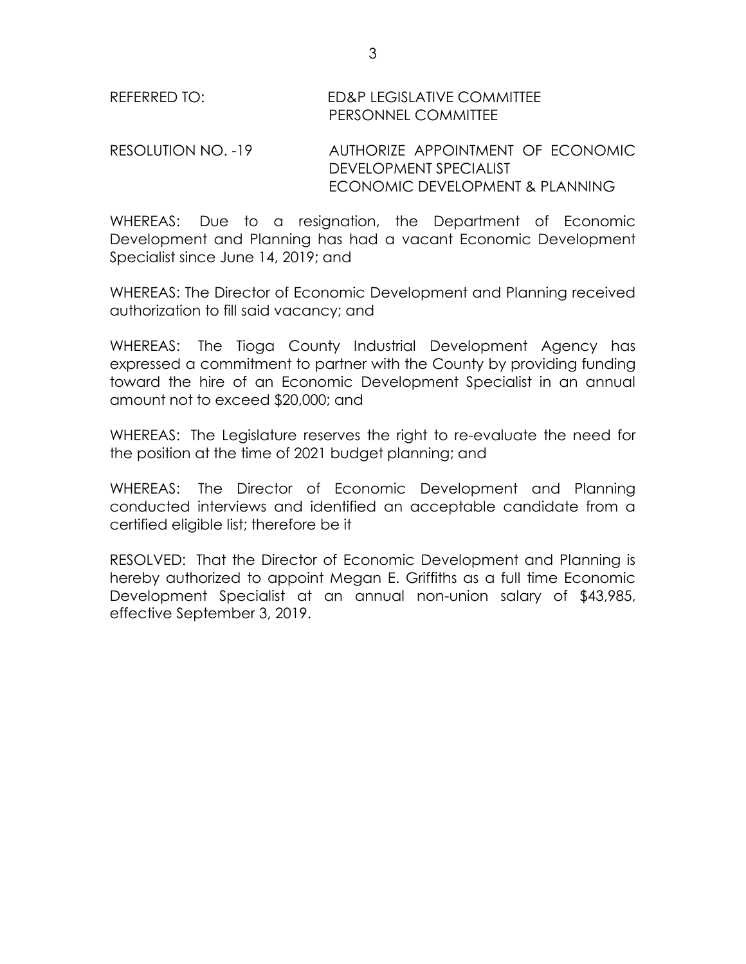| REFERRED TO: | <b>ED&amp;P LEGISLATIVE COMMITTEE</b> |
|--------------|---------------------------------------|
|              | PERSONNEL COMMITTEE                   |

## RESOLUTION NO. -19 AUTHORIZE APPOINTMENT OF ECONOMIC DEVELOPMENT SPECIALIST ECONOMIC DEVELOPMENT & PLANNING

WHEREAS: Due to a resignation, the Department of Economic Development and Planning has had a vacant Economic Development Specialist since June 14, 2019; and

WHEREAS: The Director of Economic Development and Planning received authorization to fill said vacancy; and

WHEREAS: The Tioga County Industrial Development Agency has expressed a commitment to partner with the County by providing funding toward the hire of an Economic Development Specialist in an annual amount not to exceed \$20,000; and

WHEREAS: The Legislature reserves the right to re-evaluate the need for the position at the time of 2021 budget planning; and

WHEREAS: The Director of Economic Development and Planning conducted interviews and identified an acceptable candidate from a certified eligible list; therefore be it

RESOLVED: That the Director of Economic Development and Planning is hereby authorized to appoint Megan E. Griffiths as a full time Economic Development Specialist at an annual non-union salary of \$43,985, effective September 3, 2019.